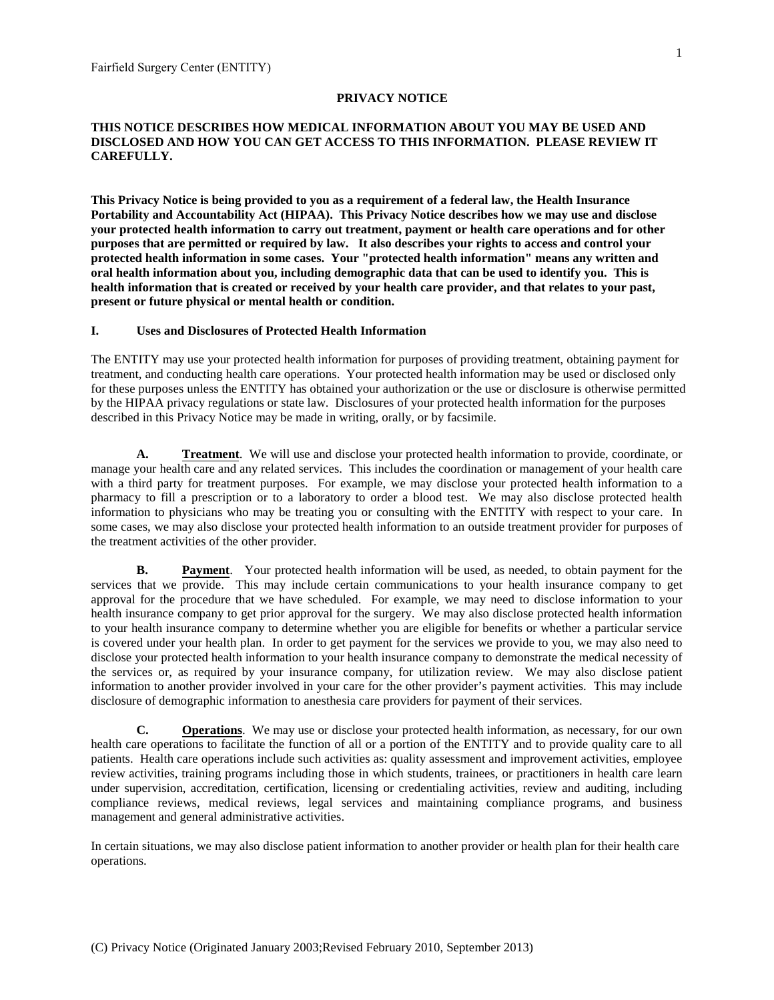### **PRIVACY NOTICE**

### **THIS NOTICE DESCRIBES HOW MEDICAL INFORMATION ABOUT YOU MAY BE USED AND DISCLOSED AND HOW YOU CAN GET ACCESS TO THIS INFORMATION. PLEASE REVIEW IT CAREFULLY.**

**This Privacy Notice is being provided to you as a requirement of a federal law, the Health Insurance Portability and Accountability Act (HIPAA). This Privacy Notice describes how we may use and disclose your protected health information to carry out treatment, payment or health care operations and for other purposes that are permitted or required by law. It also describes your rights to access and control your protected health information in some cases. Your "protected health information" means any written and oral health information about you, including demographic data that can be used to identify you. This is health information that is created or received by your health care provider, and that relates to your past, present or future physical or mental health or condition.**

#### **I. Uses and Disclosures of Protected Health Information**

The ENTITY may use your protected health information for purposes of providing treatment, obtaining payment for treatment, and conducting health care operations. Your protected health information may be used or disclosed only for these purposes unless the ENTITY has obtained your authorization or the use or disclosure is otherwise permitted by the HIPAA privacy regulations or state law. Disclosures of your protected health information for the purposes described in this Privacy Notice may be made in writing, orally, or by facsimile.

**A. Treatment**. We will use and disclose your protected health information to provide, coordinate, or manage your health care and any related services. This includes the coordination or management of your health care with a third party for treatment purposes. For example, we may disclose your protected health information to a pharmacy to fill a prescription or to a laboratory to order a blood test. We may also disclose protected health information to physicians who may be treating you or consulting with the ENTITY with respect to your care. In some cases, we may also disclose your protected health information to an outside treatment provider for purposes of the treatment activities of the other provider.

**B. Payment**. Your protected health information will be used, as needed, to obtain payment for the services that we provide. This may include certain communications to your health insurance company to get approval for the procedure that we have scheduled. For example, we may need to disclose information to your health insurance company to get prior approval for the surgery. We may also disclose protected health information to your health insurance company to determine whether you are eligible for benefits or whether a particular service is covered under your health plan. In order to get payment for the services we provide to you, we may also need to disclose your protected health information to your health insurance company to demonstrate the medical necessity of the services or, as required by your insurance company, for utilization review. We may also disclose patient information to another provider involved in your care for the other provider's payment activities. This may include disclosure of demographic information to anesthesia care providers for payment of their services.

**C. Operations**. We may use or disclose your protected health information, as necessary, for our own health care operations to facilitate the function of all or a portion of the ENTITY and to provide quality care to all patients. Health care operations include such activities as: quality assessment and improvement activities, employee review activities, training programs including those in which students, trainees, or practitioners in health care learn under supervision, accreditation, certification, licensing or credentialing activities, review and auditing, including compliance reviews, medical reviews, legal services and maintaining compliance programs, and business management and general administrative activities.

In certain situations, we may also disclose patient information to another provider or health plan for their health care operations.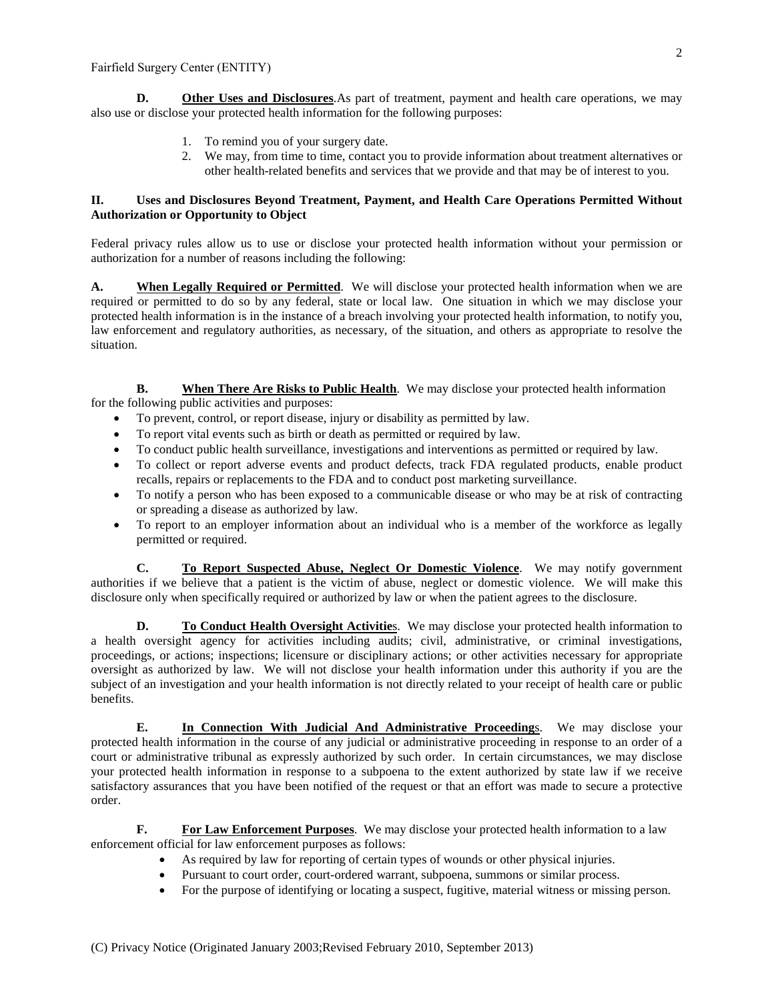**D. Other Uses and Disclosures**. As part of treatment, payment and health care operations, we may also use or disclose your protected health information for the following purposes:

- 1. To remind you of your surgery date.
- 2. We may, from time to time, contact you to provide information about treatment alternatives or other health-related benefits and services that we provide and that may be of interest to you.

## **II. Uses and Disclosures Beyond Treatment, Payment, and Health Care Operations Permitted Without Authorization or Opportunity to Object**

Federal privacy rules allow us to use or disclose your protected health information without your permission or authorization for a number of reasons including the following:

**A. When Legally Required or Permitted**. We will disclose your protected health information when we are required or permitted to do so by any federal, state or local law. One situation in which we may disclose your protected health information is in the instance of a breach involving your protected health information, to notify you, law enforcement and regulatory authorities, as necessary, of the situation, and others as appropriate to resolve the situation.

**B. When There Are Risks to Public Health**. We may disclose your protected health information for the following public activities and purposes:

- To prevent, control, or report disease, injury or disability as permitted by law.
- To report vital events such as birth or death as permitted or required by law.
- To conduct public health surveillance, investigations and interventions as permitted or required by law.
- To collect or report adverse events and product defects, track FDA regulated products, enable product recalls, repairs or replacements to the FDA and to conduct post marketing surveillance.
- To notify a person who has been exposed to a communicable disease or who may be at risk of contracting or spreading a disease as authorized by law.
- To report to an employer information about an individual who is a member of the workforce as legally permitted or required.

**C. To Report Suspected Abuse, Neglect Or Domestic Violence**. We may notify government authorities if we believe that a patient is the victim of abuse, neglect or domestic violence. We will make this disclosure only when specifically required or authorized by law or when the patient agrees to the disclosure.

**D. To Conduct Health Oversight Activitie**s. We may disclose your protected health information to a health oversight agency for activities including audits; civil, administrative, or criminal investigations, proceedings, or actions; inspections; licensure or disciplinary actions; or other activities necessary for appropriate oversight as authorized by law. We will not disclose your health information under this authority if you are the subject of an investigation and your health information is not directly related to your receipt of health care or public benefits.

**E. In Connection With Judicial And Administrative Proceeding**s. We may disclose your protected health information in the course of any judicial or administrative proceeding in response to an order of a court or administrative tribunal as expressly authorized by such order. In certain circumstances, we may disclose your protected health information in response to a subpoena to the extent authorized by state law if we receive satisfactory assurances that you have been notified of the request or that an effort was made to secure a protective order.

**F. For Law Enforcement Purposes**. We may disclose your protected health information to a law enforcement official for law enforcement purposes as follows:

- As required by law for reporting of certain types of wounds or other physical injuries.
- Pursuant to court order, court-ordered warrant, subpoena, summons or similar process.
- For the purpose of identifying or locating a suspect, fugitive, material witness or missing person.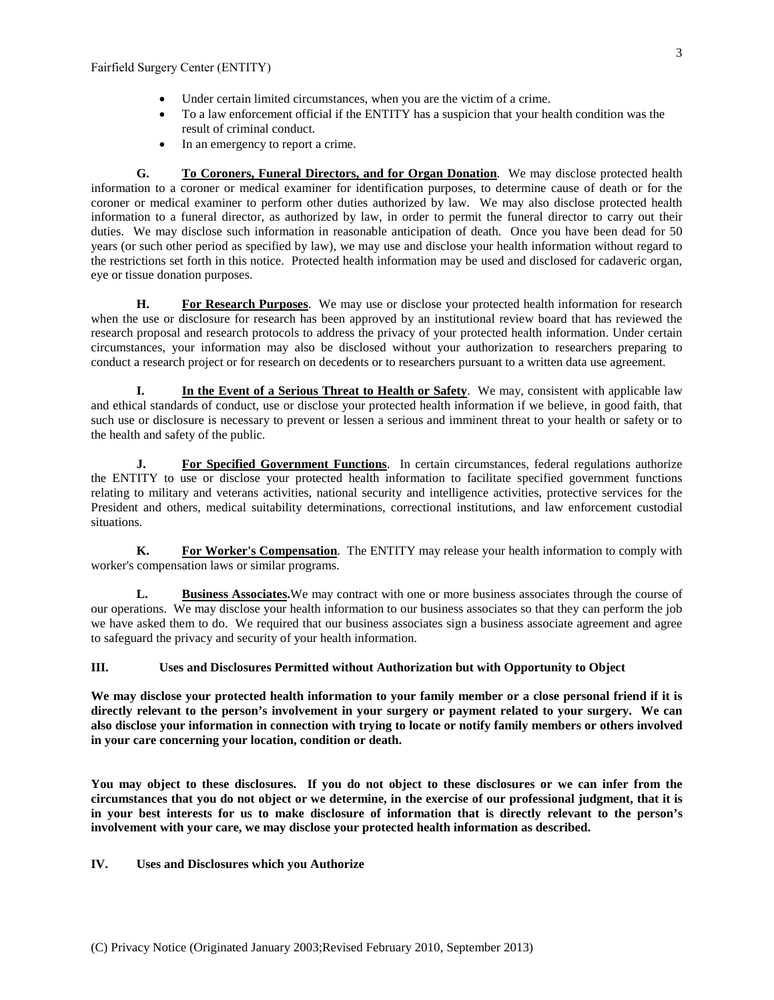- To a law enforcement official if the ENTITY has a suspicion that your health condition was the result of criminal conduct.
- In an emergency to report a crime.

**G. To Coroners, Funeral Directors, and for Organ Donation**. We may disclose protected health information to a coroner or medical examiner for identification purposes, to determine cause of death or for the coroner or medical examiner to perform other duties authorized by law. We may also disclose protected health information to a funeral director, as authorized by law, in order to permit the funeral director to carry out their duties. We may disclose such information in reasonable anticipation of death. Once you have been dead for 50 years (or such other period as specified by law), we may use and disclose your health information without regard to the restrictions set forth in this notice. Protected health information may be used and disclosed for cadaveric organ, eye or tissue donation purposes.

**H. For Research Purposes**. We may use or disclose your protected health information for research when the use or disclosure for research has been approved by an institutional review board that has reviewed the research proposal and research protocols to address the privacy of your protected health information. Under certain circumstances, your information may also be disclosed without your authorization to researchers preparing to conduct a research project or for research on decedents or to researchers pursuant to a written data use agreement.

**I. In the Event of a Serious Threat to Health or Safety**. We may, consistent with applicable law and ethical standards of conduct, use or disclose your protected health information if we believe, in good faith, that such use or disclosure is necessary to prevent or lessen a serious and imminent threat to your health or safety or to the health and safety of the public.

**J. For Specified Government Functions**. In certain circumstances, federal regulations authorize the ENTITY to use or disclose your protected health information to facilitate specified government functions relating to military and veterans activities, national security and intelligence activities, protective services for the President and others, medical suitability determinations, correctional institutions, and law enforcement custodial situations.

**K. For Worker's Compensation**. The ENTITY may release your health information to comply with worker's compensation laws or similar programs.

**L. Business Associates.**We may contract with one or more business associates through the course of our operations. We may disclose your health information to our business associates so that they can perform the job we have asked them to do. We required that our business associates sign a business associate agreement and agree to safeguard the privacy and security of your health information.

### **III. Uses and Disclosures Permitted without Authorization but with Opportunity to Object**

**We may disclose your protected health information to your family member or a close personal friend if it is directly relevant to the person's involvement in your surgery or payment related to your surgery. We can also disclose your information in connection with trying to locate or notify family members or others involved in your care concerning your location, condition or death.** 

**You may object to these disclosures. If you do not object to these disclosures or we can infer from the circumstances that you do not object or we determine, in the exercise of our professional judgment, that it is in your best interests for us to make disclosure of information that is directly relevant to the person's involvement with your care, we may disclose your protected health information as described.** 

**IV. Uses and Disclosures which you Authorize**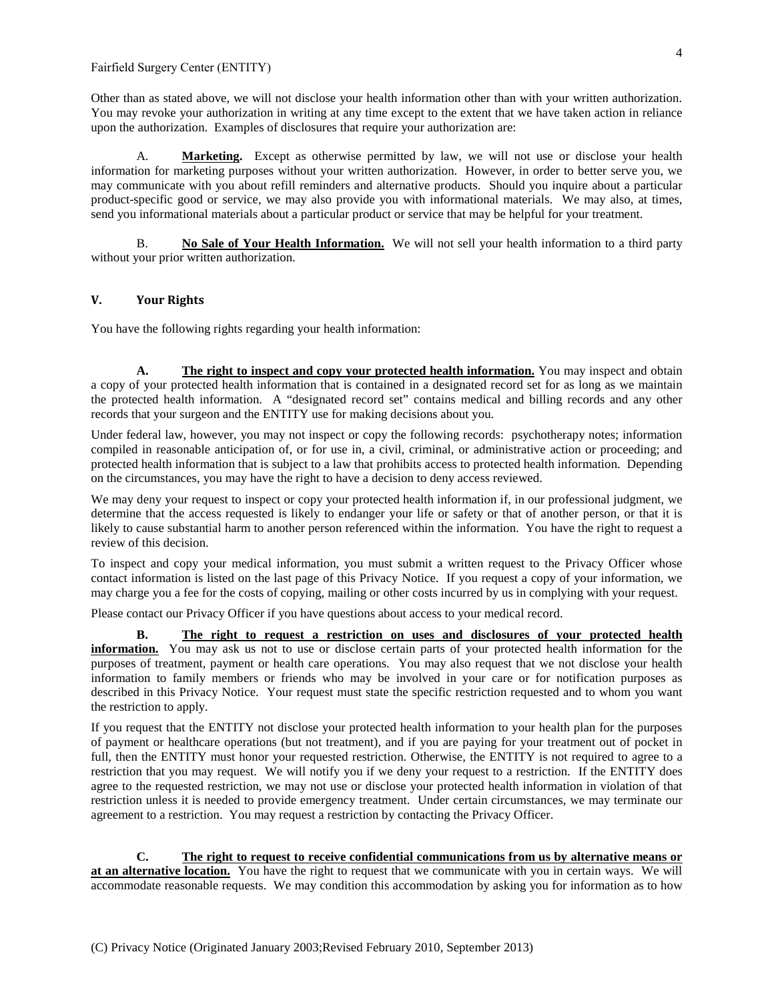Other than as stated above, we will not disclose your health information other than with your written authorization. You may revoke your authorization in writing at any time except to the extent that we have taken action in reliance upon the authorization. Examples of disclosures that require your authorization are:

A. **Marketing.** Except as otherwise permitted by law, we will not use or disclose your health information for marketing purposes without your written authorization. However, in order to better serve you, we may communicate with you about refill reminders and alternative products. Should you inquire about a particular product-specific good or service, we may also provide you with informational materials. We may also, at times, send you informational materials about a particular product or service that may be helpful for your treatment.

B. **No Sale of Your Health Information.** We will not sell your health information to a third party without your prior written authorization.

## **V. Your Rights**

You have the following rights regarding your health information:

**A. The right to inspect and copy your protected health information.** You may inspect and obtain a copy of your protected health information that is contained in a designated record set for as long as we maintain the protected health information. A "designated record set" contains medical and billing records and any other records that your surgeon and the ENTITY use for making decisions about you.

Under federal law, however, you may not inspect or copy the following records: psychotherapy notes; information compiled in reasonable anticipation of, or for use in, a civil, criminal, or administrative action or proceeding; and protected health information that is subject to a law that prohibits access to protected health information. Depending on the circumstances, you may have the right to have a decision to deny access reviewed.

We may deny your request to inspect or copy your protected health information if, in our professional judgment, we determine that the access requested is likely to endanger your life or safety or that of another person, or that it is likely to cause substantial harm to another person referenced within the information. You have the right to request a review of this decision.

To inspect and copy your medical information, you must submit a written request to the Privacy Officer whose contact information is listed on the last page of this Privacy Notice. If you request a copy of your information, we may charge you a fee for the costs of copying, mailing or other costs incurred by us in complying with your request.

Please contact our Privacy Officer if you have questions about access to your medical record.

**B. The right to request a restriction on uses and disclosures of your protected health information.** You may ask us not to use or disclose certain parts of your protected health information for the purposes of treatment, payment or health care operations. You may also request that we not disclose your health information to family members or friends who may be involved in your care or for notification purposes as described in this Privacy Notice. Your request must state the specific restriction requested and to whom you want the restriction to apply.

If you request that the ENTITY not disclose your protected health information to your health plan for the purposes of payment or healthcare operations (but not treatment), and if you are paying for your treatment out of pocket in full, then the ENTITY must honor your requested restriction. Otherwise, the ENTITY is not required to agree to a restriction that you may request. We will notify you if we deny your request to a restriction. If the ENTITY does agree to the requested restriction, we may not use or disclose your protected health information in violation of that restriction unless it is needed to provide emergency treatment. Under certain circumstances, we may terminate our agreement to a restriction. You may request a restriction by contacting the Privacy Officer.

**C. The right to request to receive confidential communications from us by alternative means or at an alternative location.** You have the right to request that we communicate with you in certain ways. We will accommodate reasonable requests. We may condition this accommodation by asking you for information as to how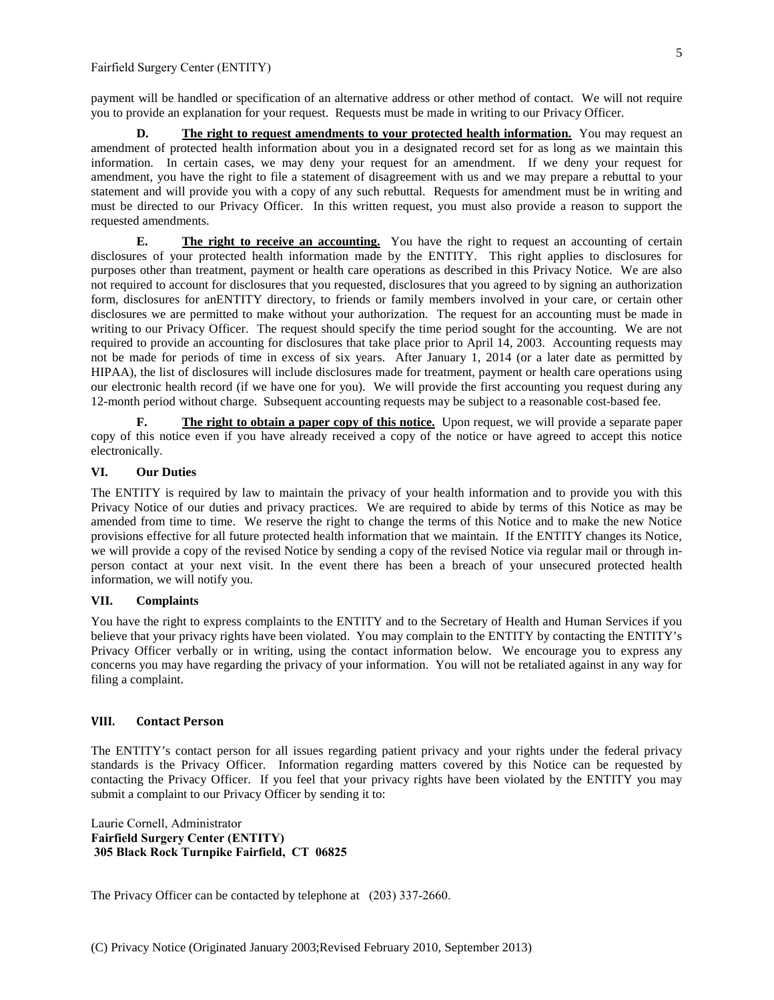payment will be handled or specification of an alternative address or other method of contact. We will not require you to provide an explanation for your request. Requests must be made in writing to our Privacy Officer.

**D. The right to request amendments to your protected health information.** You may request an amendment of protected health information about you in a designated record set for as long as we maintain this information. In certain cases, we may deny your request for an amendment. If we deny your request for amendment, you have the right to file a statement of disagreement with us and we may prepare a rebuttal to your statement and will provide you with a copy of any such rebuttal. Requests for amendment must be in writing and must be directed to our Privacy Officer. In this written request, you must also provide a reason to support the requested amendments.

**E. The right to receive an accounting.** You have the right to request an accounting of certain disclosures of your protected health information made by the ENTITY. This right applies to disclosures for purposes other than treatment, payment or health care operations as described in this Privacy Notice. We are also not required to account for disclosures that you requested, disclosures that you agreed to by signing an authorization form, disclosures for anENTITY directory, to friends or family members involved in your care, or certain other disclosures we are permitted to make without your authorization. The request for an accounting must be made in writing to our Privacy Officer. The request should specify the time period sought for the accounting. We are not required to provide an accounting for disclosures that take place prior to April 14, 2003. Accounting requests may not be made for periods of time in excess of six years. After January 1, 2014 (or a later date as permitted by HIPAA), the list of disclosures will include disclosures made for treatment, payment or health care operations using our electronic health record (if we have one for you). We will provide the first accounting you request during any 12-month period without charge. Subsequent accounting requests may be subject to a reasonable cost-based fee.

**F. The right to obtain a paper copy of this notice.** Upon request, we will provide a separate paper copy of this notice even if you have already received a copy of the notice or have agreed to accept this notice electronically.

### **VI. Our Duties**

The ENTITY is required by law to maintain the privacy of your health information and to provide you with this Privacy Notice of our duties and privacy practices. We are required to abide by terms of this Notice as may be amended from time to time. We reserve the right to change the terms of this Notice and to make the new Notice provisions effective for all future protected health information that we maintain. If the ENTITY changes its Notice, we will provide a copy of the revised Notice by sending a copy of the revised Notice via regular mail or through inperson contact at your next visit. In the event there has been a breach of your unsecured protected health information, we will notify you.

### **VII. Complaints**

You have the right to express complaints to the ENTITY and to the Secretary of Health and Human Services if you believe that your privacy rights have been violated. You may complain to the ENTITY by contacting the ENTITY's Privacy Officer verbally or in writing, using the contact information below. We encourage you to express any concerns you may have regarding the privacy of your information. You will not be retaliated against in any way for filing a complaint.

## **VIII. Contact Person**

The ENTITY's contact person for all issues regarding patient privacy and your rights under the federal privacy standards is the Privacy Officer. Information regarding matters covered by this Notice can be requested by contacting the Privacy Officer. If you feel that your privacy rights have been violated by the ENTITY you may submit a complaint to our Privacy Officer by sending it to:

Laurie Cornell, Administrator **Fairfield Surgery Center (ENTITY) 305 Black Rock Turnpike Fairfield, CT 06825** 

The Privacy Officer can be contacted by telephone at (203) 337-2660.